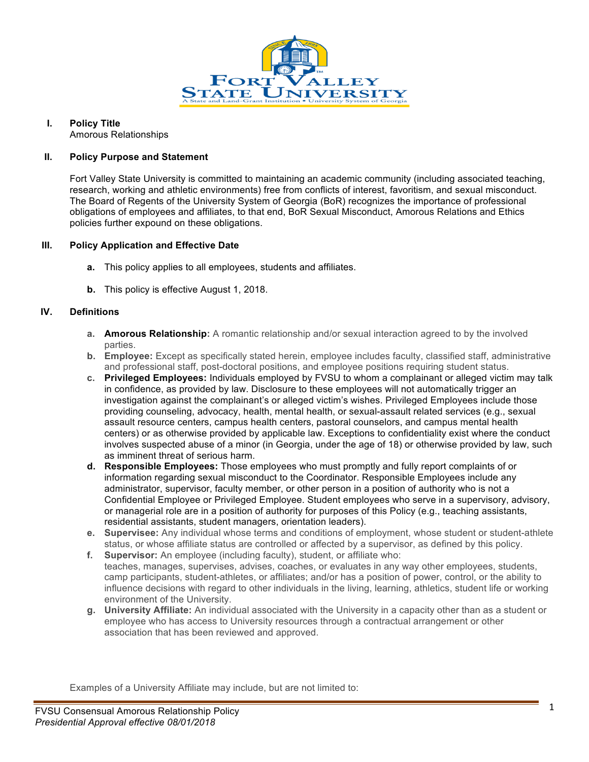

# **I. Policy Title**

Amorous Relationships

### **II. Policy Purpose and Statement**

Fort Valley State University is committed to maintaining an academic community (including associated teaching, research, working and athletic environments) free from conflicts of interest, favoritism, and sexual misconduct. The Board of Regents of the University System of Georgia (BoR) recognizes the importance of professional obligations of employees and affiliates, to that end, BoR Sexual Misconduct, Amorous Relations and Ethics policies further expound on these obligations.

#### **III. Policy Application and Effective Date**

- **a.** This policy applies to all employees, students and affiliates.
- **b.** This policy is effective August 1, 2018.

# **IV. Definitions**

- **a. Amorous Relationship:** A romantic relationship and/or sexual interaction agreed to by the involved parties.
- **b. Employee:** Except as specifically stated herein, employee includes faculty, classified staff, administrative and professional staff, post-doctoral positions, and employee positions requiring student status.
- **c. Privileged Employees:** Individuals employed by FVSU to whom a complainant or alleged victim may talk in confidence, as provided by law. Disclosure to these employees will not automatically trigger an investigation against the complainant's or alleged victim's wishes. Privileged Employees include those providing counseling, advocacy, health, mental health, or sexual-assault related services (e.g., sexual assault resource centers, campus health centers, pastoral counselors, and campus mental health centers) or as otherwise provided by applicable law. Exceptions to confidentiality exist where the conduct involves suspected abuse of a minor (in Georgia, under the age of 18) or otherwise provided by law, such as imminent threat of serious harm.
- **d. Responsible Employees:** Those employees who must promptly and fully report complaints of or information regarding sexual misconduct to the Coordinator. Responsible Employees include any administrator, supervisor, faculty member, or other person in a position of authority who is not a Confidential Employee or Privileged Employee. Student employees who serve in a supervisory, advisory, or managerial role are in a position of authority for purposes of this Policy (e.g., teaching assistants, residential assistants, student managers, orientation leaders).
- **e. Supervisee:** Any individual whose terms and conditions of employment, whose student or student-athlete status, or whose affiliate status are controlled or affected by a supervisor, as defined by this policy.
- **f. Supervisor:** An employee (including faculty), student, or affiliate who: teaches, manages, supervises, advises, coaches, or evaluates in any way other employees, students, camp participants, student-athletes, or affiliates; and/or has a position of power, control, or the ability to influence decisions with regard to other individuals in the living, learning, athletics, student life or working environment of the University.
- **g. University Affiliate:** An individual associated with the University in a capacity other than as a student or employee who has access to University resources through a contractual arrangement or other association that has been reviewed and approved.

Examples of a University Affiliate may include, but are not limited to: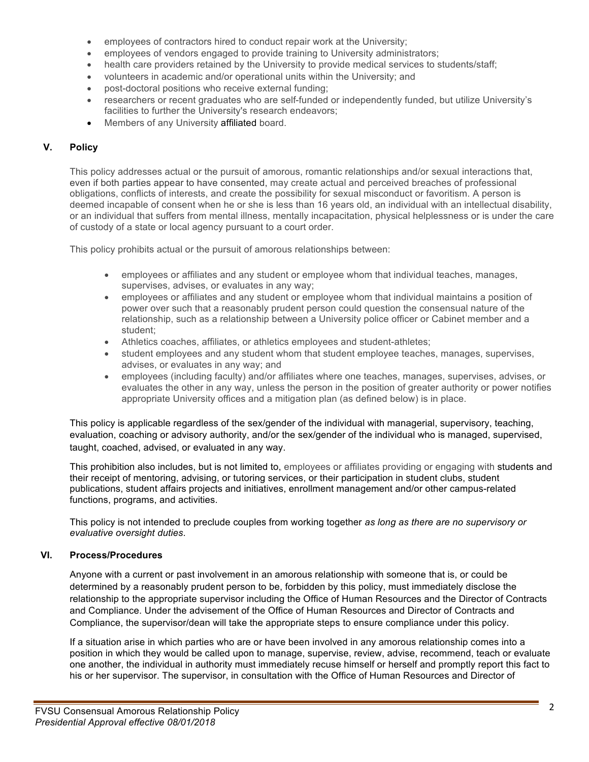- employees of contractors hired to conduct repair work at the University;
- employees of vendors engaged to provide training to University administrators;
- health care providers retained by the University to provide medical services to students/staff;
- volunteers in academic and/or operational units within the University; and
- post-doctoral positions who receive external funding;
- researchers or recent graduates who are self-funded or independently funded, but utilize University's facilities to further the University's research endeavors;
- Members of any University affiliated board.

# **V. Policy**

This policy addresses actual or the pursuit of amorous, romantic relationships and/or sexual interactions that, even if both parties appear to have consented, may create actual and perceived breaches of professional obligations, conflicts of interests, and create the possibility for sexual misconduct or favoritism. A person is deemed incapable of consent when he or she is less than 16 years old, an individual with an intellectual disability, or an individual that suffers from mental illness, mentally incapacitation, physical helplessness or is under the care of custody of a state or local agency pursuant to a court order.

This policy prohibits actual or the pursuit of amorous relationships between:

- employees or affiliates and any student or employee whom that individual teaches, manages, supervises, advises, or evaluates in any way;
- employees or affiliates and any student or employee whom that individual maintains a position of power over such that a reasonably prudent person could question the consensual nature of the relationship, such as a relationship between a University police officer or Cabinet member and a student;
- Athletics coaches, affiliates, or athletics employees and student-athletes;
- student employees and any student whom that student employee teaches, manages, supervises, advises, or evaluates in any way; and
- employees (including faculty) and/or affiliates where one teaches, manages, supervises, advises, or evaluates the other in any way, unless the person in the position of greater authority or power notifies appropriate University offices and a mitigation plan (as defined below) is in place.

This policy is applicable regardless of the sex/gender of the individual with managerial, supervisory, teaching, evaluation, coaching or advisory authority, and/or the sex/gender of the individual who is managed, supervised, taught, coached, advised, or evaluated in any way.

This prohibition also includes, but is not limited to, employees or affiliates providing or engaging with students and their receipt of mentoring, advising, or tutoring services, or their participation in student clubs, student publications, student affairs projects and initiatives, enrollment management and/or other campus-related functions, programs, and activities.

This policy is not intended to preclude couples from working together *as long as there are no supervisory or evaluative oversight duties*.

# **VI. Process/Procedures**

Anyone with a current or past involvement in an amorous relationship with someone that is, or could be determined by a reasonably prudent person to be, forbidden by this policy, must immediately disclose the relationship to the appropriate supervisor including the Office of Human Resources and the Director of Contracts and Compliance. Under the advisement of the Office of Human Resources and Director of Contracts and Compliance, the supervisor/dean will take the appropriate steps to ensure compliance under this policy.

If a situation arise in which parties who are or have been involved in any amorous relationship comes into a position in which they would be called upon to manage, supervise, review, advise, recommend, teach or evaluate one another, the individual in authority must immediately recuse himself or herself and promptly report this fact to his or her supervisor. The supervisor, in consultation with the Office of Human Resources and Director of